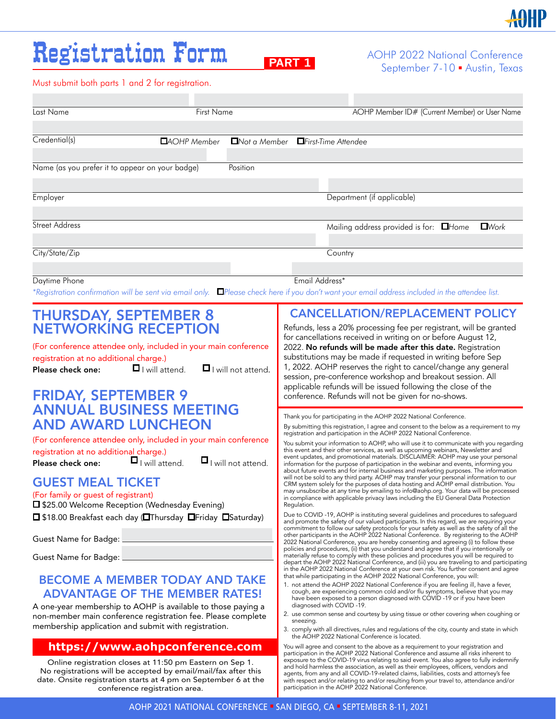## Registration Form

AOHP 2022 National Conference **PART 1** AUTH 2022 National Conference<br>September 7-10 **•** Austin, Texas

Must submit both parts 1 and 2 for registration.

| Last Name                                                                                                                                                                                                                                                                                                                                                                                                                                                                                       | First Name                                                                   |                         |                                                                                                                                                                                                                                                                                                                                                                                                                                                                                                                                                                                                                                                                                                                                                                                                                                                                                                                                                                                                                                                                                                                                                                                                                                                                                                                                                                                                                                                                             | AOHP Member ID# (Current Member) or User Name                                                                                                                                                                                                                                                                                                                                                                                                                                                                                                                                                                                                                                                                                                                                                                                                                                                                                                                                                                                                                                                                                                                                                                                                                                                                                                                                                                                                                                                                                                                                                                                      |  |  |  |  |
|-------------------------------------------------------------------------------------------------------------------------------------------------------------------------------------------------------------------------------------------------------------------------------------------------------------------------------------------------------------------------------------------------------------------------------------------------------------------------------------------------|------------------------------------------------------------------------------|-------------------------|-----------------------------------------------------------------------------------------------------------------------------------------------------------------------------------------------------------------------------------------------------------------------------------------------------------------------------------------------------------------------------------------------------------------------------------------------------------------------------------------------------------------------------------------------------------------------------------------------------------------------------------------------------------------------------------------------------------------------------------------------------------------------------------------------------------------------------------------------------------------------------------------------------------------------------------------------------------------------------------------------------------------------------------------------------------------------------------------------------------------------------------------------------------------------------------------------------------------------------------------------------------------------------------------------------------------------------------------------------------------------------------------------------------------------------------------------------------------------------|------------------------------------------------------------------------------------------------------------------------------------------------------------------------------------------------------------------------------------------------------------------------------------------------------------------------------------------------------------------------------------------------------------------------------------------------------------------------------------------------------------------------------------------------------------------------------------------------------------------------------------------------------------------------------------------------------------------------------------------------------------------------------------------------------------------------------------------------------------------------------------------------------------------------------------------------------------------------------------------------------------------------------------------------------------------------------------------------------------------------------------------------------------------------------------------------------------------------------------------------------------------------------------------------------------------------------------------------------------------------------------------------------------------------------------------------------------------------------------------------------------------------------------------------------------------------------------------------------------------------------------|--|--|--|--|
| Credential(s)                                                                                                                                                                                                                                                                                                                                                                                                                                                                                   | DAOHP Member                                                                 |                         | □Not a Member □ First-Time Attendee                                                                                                                                                                                                                                                                                                                                                                                                                                                                                                                                                                                                                                                                                                                                                                                                                                                                                                                                                                                                                                                                                                                                                                                                                                                                                                                                                                                                                                         |                                                                                                                                                                                                                                                                                                                                                                                                                                                                                                                                                                                                                                                                                                                                                                                                                                                                                                                                                                                                                                                                                                                                                                                                                                                                                                                                                                                                                                                                                                                                                                                                                                    |  |  |  |  |
| Name (as you prefer it to appear on your badge)                                                                                                                                                                                                                                                                                                                                                                                                                                                 |                                                                              | Position                |                                                                                                                                                                                                                                                                                                                                                                                                                                                                                                                                                                                                                                                                                                                                                                                                                                                                                                                                                                                                                                                                                                                                                                                                                                                                                                                                                                                                                                                                             |                                                                                                                                                                                                                                                                                                                                                                                                                                                                                                                                                                                                                                                                                                                                                                                                                                                                                                                                                                                                                                                                                                                                                                                                                                                                                                                                                                                                                                                                                                                                                                                                                                    |  |  |  |  |
| Employer                                                                                                                                                                                                                                                                                                                                                                                                                                                                                        |                                                                              |                         |                                                                                                                                                                                                                                                                                                                                                                                                                                                                                                                                                                                                                                                                                                                                                                                                                                                                                                                                                                                                                                                                                                                                                                                                                                                                                                                                                                                                                                                                             | Department (if applicable)                                                                                                                                                                                                                                                                                                                                                                                                                                                                                                                                                                                                                                                                                                                                                                                                                                                                                                                                                                                                                                                                                                                                                                                                                                                                                                                                                                                                                                                                                                                                                                                                         |  |  |  |  |
| <b>Street Address</b>                                                                                                                                                                                                                                                                                                                                                                                                                                                                           |                                                                              |                         |                                                                                                                                                                                                                                                                                                                                                                                                                                                                                                                                                                                                                                                                                                                                                                                                                                                                                                                                                                                                                                                                                                                                                                                                                                                                                                                                                                                                                                                                             | Mailing address provided is for: $\Box$ Home<br>$\Box$ Work                                                                                                                                                                                                                                                                                                                                                                                                                                                                                                                                                                                                                                                                                                                                                                                                                                                                                                                                                                                                                                                                                                                                                                                                                                                                                                                                                                                                                                                                                                                                                                        |  |  |  |  |
| City/State/Zip                                                                                                                                                                                                                                                                                                                                                                                                                                                                                  |                                                                              |                         | Country                                                                                                                                                                                                                                                                                                                                                                                                                                                                                                                                                                                                                                                                                                                                                                                                                                                                                                                                                                                                                                                                                                                                                                                                                                                                                                                                                                                                                                                                     |                                                                                                                                                                                                                                                                                                                                                                                                                                                                                                                                                                                                                                                                                                                                                                                                                                                                                                                                                                                                                                                                                                                                                                                                                                                                                                                                                                                                                                                                                                                                                                                                                                    |  |  |  |  |
| Daytime Phone                                                                                                                                                                                                                                                                                                                                                                                                                                                                                   |                                                                              |                         | Email Address*                                                                                                                                                                                                                                                                                                                                                                                                                                                                                                                                                                                                                                                                                                                                                                                                                                                                                                                                                                                                                                                                                                                                                                                                                                                                                                                                                                                                                                                              | *Registration confirmation will be sent via email only. DPlease check here if you don't want your email address included in the attendee list.                                                                                                                                                                                                                                                                                                                                                                                                                                                                                                                                                                                                                                                                                                                                                                                                                                                                                                                                                                                                                                                                                                                                                                                                                                                                                                                                                                                                                                                                                     |  |  |  |  |
| <b>THURSDAY, SEPTEMBER 8</b><br><b>NETWORKING RECEPTION</b><br>(For conference attendee only, included in your main conference<br>registration at no additional charge.)<br>Please check one:<br><b>FRIDAY, SEPTEMBER 9</b><br><b>ANNUAL BUSINESS MEETING</b><br><b>AND AWARD LUNCHEON</b><br>(For conference attendee only, included in your main conference<br>registration at no additional charge.)<br>Please check one:<br><b>GUEST MEAL TICKET</b><br>(For family or guest of registrant) | $\blacksquare$ I will attend.<br>$\Box$ will attend. $\Box$ will not attend. | $\Box$ will not attend. |                                                                                                                                                                                                                                                                                                                                                                                                                                                                                                                                                                                                                                                                                                                                                                                                                                                                                                                                                                                                                                                                                                                                                                                                                                                                                                                                                                                                                                                                             | <b>CANCELLATION/REPLACEMENT POLICY</b><br>Refunds, less a 20% processing fee per registrant, will be granted<br>for cancellations received in writing on or before August 12,<br>2022. No refunds will be made after this date. Registration<br>substitutions may be made if requested in writing before Sep<br>1, 2022. AOHP reserves the right to cancel/change any general<br>session, pre-conference workshop and breakout session. All<br>applicable refunds will be issued following the close of the<br>conference. Refunds will not be given for no-shows.<br>Thank you for participating in the AOHP 2022 National Conference.<br>By submitting this registration, I agree and consent to the below as a requirement to my<br>registration and participation in the AOHP 2022 National Conference.<br>You submit your information to AOHP, who will use it to communicate with you regarding<br>this event and their other services, as well as upcoming webinars, Newsletter and<br>event updates, and promotional materials. DISCLAIMER: AOHP may use your personal<br>information for the purpose of participation in the webinar and events, informing you<br>about future events and for internal business and marketing purposes. The information<br>will not be sold to any third party. AOHP may transfer your personal information to our<br>CRM system solely for the purposes of data hosting and AOHP email distribution. You<br>may unsubscribe at any time by emailing to info@aohp.org. Your data will be processed<br>in compliance with applicable privacy laws including the EU General Data Protection |  |  |  |  |
| $\Box$ \$25.00 Welcome Reception (Wednesday Evening)<br>□ \$18.00 Breakfast each day (□Thursday □Friday □Saturday)<br>Guest Name for Badge: _____________<br>Guest Name for Badge: __<br><b>BECOME A MEMBER TODAY AND TAKE</b><br><b>ADVANTAGE OF THE MEMBER RATES!</b><br>A one-year membership to AOHP is available to those paying a<br>non-member main conference registration fee. Please complete<br>membership application and submit with registration.                                 |                                                                              |                         | Regulation.<br>Due to COVID-19, AOHP is instituting several quidelines and procedures to safequard<br>and promote the safety of our valued participants. In this regard, we are requiring your<br>commitment to follow our safety protocols for your safety as well as the safety of all the<br>other participants in the AOHP 2022 National Conference. By registering to the AOHP<br>2022 National Conference, you are hereby consenting and agreeing (i) to follow these<br>policies and procedures, (ii) that you understand and agree that if you intentionally or<br>materially refuse to comply with these policies and procedures you will be required to<br>depart the AOHP 2022 National Conference, and (iii) you are traveling to and participating<br>in the AOHP 2022 National Conference at your own risk. You further consent and agree<br>that while participating in the AOHP 2022 National Conference, you will:<br>1. not attend the AOHP 2022 National Conference if you are feeling ill, have a fever,<br>cough, are experiencing common cold and/or flu symptoms, believe that you may<br>have been exposed to a person diagnosed with COVID -19 or if you have been<br>diagnosed with COVID-19.<br>2. use common sense and courtesy by using tissue or other covering when coughing or<br>sneezing.<br>3. comply with all directives, rules and regulations of the city, county and state in which<br>the AOHP 2022 National Conference is located. |                                                                                                                                                                                                                                                                                                                                                                                                                                                                                                                                                                                                                                                                                                                                                                                                                                                                                                                                                                                                                                                                                                                                                                                                                                                                                                                                                                                                                                                                                                                                                                                                                                    |  |  |  |  |
| https://www.aohpconference.com<br>Online registration closes at 11:50 pm Eastern on Sep 1.<br>No registrations will be accepted by email/mail/fax after this<br>date. Onsite registration starts at 4 pm on September 6 at the                                                                                                                                                                                                                                                                  | conference registration area.                                                |                         |                                                                                                                                                                                                                                                                                                                                                                                                                                                                                                                                                                                                                                                                                                                                                                                                                                                                                                                                                                                                                                                                                                                                                                                                                                                                                                                                                                                                                                                                             | You will agree and consent to the above as a requirement to your registration and<br>participation in the AOHP 2022 National Conference and assume all risks inherent to<br>exposure to the COVID-19 virus relating to said event. You also agree to fully indemnify<br>and hold harmless the association, as well as their employees, officers, vendors and<br>agents, from any and all COVID-19-related claims, liabilities, costs and attorney's fee<br>with respect and/or relating to and/or resulting from your travel to, attendance and/or<br>participation in the AOHP 2022 National Conference.                                                                                                                                                                                                                                                                                                                                                                                                                                                                                                                                                                                                                                                                                                                                                                                                                                                                                                                                                                                                                          |  |  |  |  |